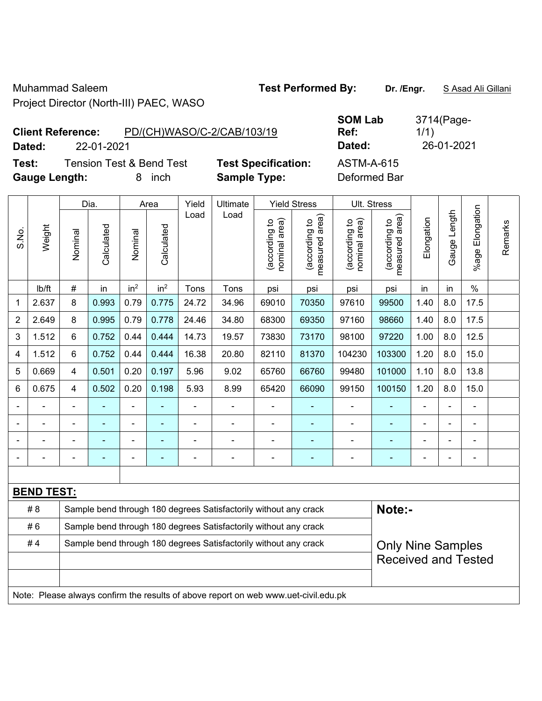Muhammad Saleem **Test Performed By: Dr. /Engr.** S Asad Ali Gillani Project Director (North-III) PAEC, WASO

| <b>Client Reference:</b> |            | PD/(CH)WASO/C-2/CAB/103/19 | Ref    | 1/1        |
|--------------------------|------------|----------------------------|--------|------------|
| Dated:                   | 22-01-2021 |                            | Dated: | 26-01-2021 |

**Test:** Tension Test & Bend Test **Test Specification:** ASTM-A-615 **Gauge Length:** 8 inch **Sample Type:** Deformed Bar

**SOM Lab Ref:**  3714(Page-1/1)

|       |                                                                                     | Dia.                                                                                         |            | Area            | Yield           | Ultimate |                                                                  | <b>Yield Stress</b>            |                                             | Ult. Stress                    |                                 |                |              |                       |         |
|-------|-------------------------------------------------------------------------------------|----------------------------------------------------------------------------------------------|------------|-----------------|-----------------|----------|------------------------------------------------------------------|--------------------------------|---------------------------------------------|--------------------------------|---------------------------------|----------------|--------------|-----------------------|---------|
| S.No. | Weight                                                                              | Nominal                                                                                      | Calculated | Nominal         | Calculated      | Load     | Load                                                             | nominal area)<br>(according to | (according to<br>measured area)<br>measured | nominal area)<br>(according to | (according to<br>measured area) | Elongation     | Gauge Length | Elongation<br>$%$ age | Remarks |
|       | Ib/ft                                                                               | $\#$                                                                                         | in         | in <sup>2</sup> | in <sup>2</sup> | Tons     | Tons                                                             | psi                            | psi                                         | psi                            | psi                             | in             | in           | $\%$                  |         |
| 1     | 2.637                                                                               | 8                                                                                            | 0.993      | 0.79            | 0.775           | 24.72    | 34.96                                                            | 69010                          | 70350                                       | 97610                          | 99500                           | 1.40           | 8.0          | 17.5                  |         |
| 2     | 2.649                                                                               | 8                                                                                            | 0.995      | 0.79            | 0.778           | 24.46    | 34.80                                                            | 68300                          | 69350                                       | 97160                          | 98660                           | 1.40           | 8.0          | 17.5                  |         |
| 3     | 1.512                                                                               | 6                                                                                            | 0.752      | 0.44            | 0.444           | 14.73    | 19.57                                                            | 73830                          | 73170                                       | 98100                          | 97220                           | 1.00           | 8.0          | 12.5                  |         |
| 4     | 1.512                                                                               | 6                                                                                            | 0.752      | 0.44            | 0.444           | 16.38    | 20.80                                                            | 82110                          | 81370                                       | 104230                         | 103300                          | 1.20           | 8.0          | 15.0                  |         |
| 5     | 0.669                                                                               | 4                                                                                            | 0.501      | 0.20            | 0.197           | 5.96     | 9.02                                                             | 65760                          | 66760                                       | 99480                          | 101000                          | 1.10           | 8.0          | 13.8                  |         |
| 6     | 0.675                                                                               | 4                                                                                            | 0.502      | 0.20            | 0.198           | 5.93     | 8.99                                                             | 65420                          | 66090                                       | 99150                          | 100150                          | 1.20           | 8.0          | 15.0                  |         |
|       |                                                                                     |                                                                                              |            | ä,              |                 |          |                                                                  |                                |                                             |                                |                                 | $\overline{a}$ |              |                       |         |
|       |                                                                                     | $\blacksquare$                                                                               |            | $\blacksquare$  | ۳               |          | $\blacksquare$                                                   |                                | $\blacksquare$                              |                                |                                 |                |              |                       |         |
|       |                                                                                     |                                                                                              |            | $\blacksquare$  |                 |          | $\blacksquare$                                                   | $\blacksquare$                 | ÷                                           | $\blacksquare$                 |                                 | $\overline{a}$ |              | ÷,                    |         |
|       |                                                                                     | Ĭ.                                                                                           |            | ÷,              | ٠               |          | ÷,                                                               |                                | ÷                                           | $\blacksquare$                 | ٠                               | $\overline{a}$ |              | ÷,                    |         |
|       |                                                                                     |                                                                                              |            |                 |                 |          |                                                                  |                                |                                             |                                |                                 |                |              |                       |         |
|       | <b>BEND TEST:</b>                                                                   |                                                                                              |            |                 |                 |          |                                                                  |                                |                                             |                                |                                 |                |              |                       |         |
|       | #8                                                                                  |                                                                                              |            |                 |                 |          | Sample bend through 180 degrees Satisfactorily without any crack |                                |                                             |                                | Note:-                          |                |              |                       |         |
|       | #6                                                                                  |                                                                                              |            |                 |                 |          | Sample bend through 180 degrees Satisfactorily without any crack |                                |                                             |                                |                                 |                |              |                       |         |
|       | #4                                                                                  | Sample bend through 180 degrees Satisfactorily without any crack<br><b>Only Nine Samples</b> |            |                 |                 |          |                                                                  |                                |                                             |                                |                                 |                |              |                       |         |
|       |                                                                                     |                                                                                              |            |                 |                 |          |                                                                  |                                |                                             |                                | <b>Received and Tested</b>      |                |              |                       |         |
|       |                                                                                     |                                                                                              |            |                 |                 |          |                                                                  |                                |                                             |                                |                                 |                |              |                       |         |
|       | Note: Please always confirm the results of above report on web www.uet-civil.edu.pk |                                                                                              |            |                 |                 |          |                                                                  |                                |                                             |                                |                                 |                |              |                       |         |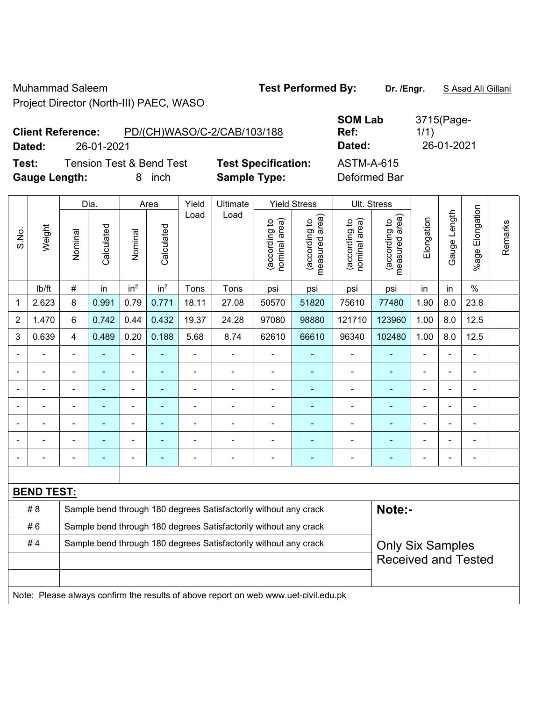Muhammad Saleem **Test Performed By: Dr. /Engr.** S Asad Ali Gillani Project Director (North-III) PAEC, WASO

**SOM Lab Ref:**  3715(Page-1/1)

**Client Reference:** PD/(CH)WASO/C-2/CAB/103/188 **Dated:** 26-01-2021 **Dated:** 26-01-2021

**Test:** Tension Test & Bend Test **Test Specification:** ASTM-A-615 **Gauge Length:** 8 inch **Sample Type:** Deformed Bar

|       |                                                                                     |                                                                                             | Dia.       |                 | Area                     | Yield          | Ultimate                                                         |                                | <b>Yield Stress</b>             |                                | Ult. Stress                     |                |                |                              |         |
|-------|-------------------------------------------------------------------------------------|---------------------------------------------------------------------------------------------|------------|-----------------|--------------------------|----------------|------------------------------------------------------------------|--------------------------------|---------------------------------|--------------------------------|---------------------------------|----------------|----------------|------------------------------|---------|
| S.No. | Weight                                                                              | Nominal                                                                                     | Calculated | Nominal         | Calculated               | Load           | Load                                                             | nominal area)<br>(according to | (according to<br>measured area) | (according to<br>nominal area) | (according to<br>measured area) | Elongation     | Gauge Length   | %age Elongation              | Remarks |
|       | Ib/ft                                                                               | #                                                                                           | in         | in <sup>2</sup> | in <sup>2</sup>          | Tons           | Tons                                                             | psi                            | psi                             | psi                            | psi                             | in             | in             | $\%$                         |         |
| 1     | 2.623                                                                               | 8                                                                                           | 0.991      | 0.79            | 0.771                    | 18.11          | 27.08                                                            | 50570                          | 51820                           | 75610                          | 77480                           | 1.90           | 8.0            | 23.8                         |         |
| 2     | 1.470                                                                               | $6\phantom{1}$                                                                              | 0.742      | 0.44            | 0.432                    | 19.37          | 24.28                                                            | 97080                          | 98880                           | 121710                         | 123960                          | 1.00           | 8.0            | 12.5                         |         |
| 3     | 0.639                                                                               | $\overline{4}$                                                                              | 0.489      | 0.20            | 0.188                    | 5.68           | 8.74                                                             | 62610                          | 66610                           | 96340                          | 102480                          | 1.00           | 8.0            | 12.5                         |         |
|       |                                                                                     | ä,                                                                                          |            | $\blacksquare$  |                          | ä,             | $\blacksquare$                                                   | $\overline{\phantom{a}}$       | $\blacksquare$                  | $\blacksquare$                 |                                 | ä,             | $\blacksquare$ | $\blacksquare$               |         |
|       | ÷                                                                                   | $\blacksquare$                                                                              | ÷          | $\blacksquare$  | $\blacksquare$           | $\blacksquare$ | $\blacksquare$                                                   | $\overline{\phantom{a}}$       | $\blacksquare$                  | $\overline{\phantom{a}}$       | ٠                               | $\blacksquare$ | $\blacksquare$ | $\blacksquare$               |         |
|       |                                                                                     | $\blacksquare$                                                                              | ä,         | $\frac{1}{2}$   | ÷,                       | ä,             | $\blacksquare$                                                   | $\blacksquare$                 | ÷,                              | $\blacksquare$                 | ÷,                              | ä,             | ä,             | ä,                           |         |
|       |                                                                                     |                                                                                             |            | $\blacksquare$  |                          |                |                                                                  | $\blacksquare$                 | ä,                              | $\blacksquare$                 |                                 |                |                | $\blacksquare$               |         |
|       |                                                                                     | $\blacksquare$                                                                              |            | ÷               |                          |                |                                                                  |                                |                                 |                                |                                 |                |                | $\blacksquare$               |         |
|       |                                                                                     |                                                                                             | -          | ä,              |                          |                |                                                                  | Ē,                             | $\blacksquare$                  | $\blacksquare$                 |                                 | ÷              | $\blacksquare$ | $\blacksquare$               |         |
|       |                                                                                     |                                                                                             |            | -               | $\overline{\phantom{0}}$ |                | $\blacksquare$                                                   | $\blacksquare$                 | $\overline{\phantom{0}}$        | $\blacksquare$                 | $\overline{\phantom{0}}$        | $\blacksquare$ | $\blacksquare$ | $\qquad \qquad \blacksquare$ |         |
|       |                                                                                     |                                                                                             |            |                 |                          |                |                                                                  |                                |                                 |                                |                                 |                |                |                              |         |
|       | <b>BEND TEST:</b>                                                                   |                                                                                             |            |                 |                          |                |                                                                  |                                |                                 |                                |                                 |                |                |                              |         |
|       | #8                                                                                  |                                                                                             |            |                 |                          |                | Sample bend through 180 degrees Satisfactorily without any crack |                                |                                 |                                | Note:-                          |                |                |                              |         |
|       | #6                                                                                  |                                                                                             |            |                 |                          |                | Sample bend through 180 degrees Satisfactorily without any crack |                                |                                 |                                |                                 |                |                |                              |         |
|       | #4                                                                                  | Sample bend through 180 degrees Satisfactorily without any crack<br><b>Only Six Samples</b> |            |                 |                          |                |                                                                  |                                |                                 |                                |                                 |                |                |                              |         |
|       |                                                                                     |                                                                                             |            |                 |                          |                |                                                                  |                                |                                 |                                | <b>Received and Tested</b>      |                |                |                              |         |
|       |                                                                                     |                                                                                             |            |                 |                          |                |                                                                  |                                |                                 |                                |                                 |                |                |                              |         |
|       | Note: Please always confirm the results of above report on web www.uet-civil.edu.pk |                                                                                             |            |                 |                          |                |                                                                  |                                |                                 |                                |                                 |                |                |                              |         |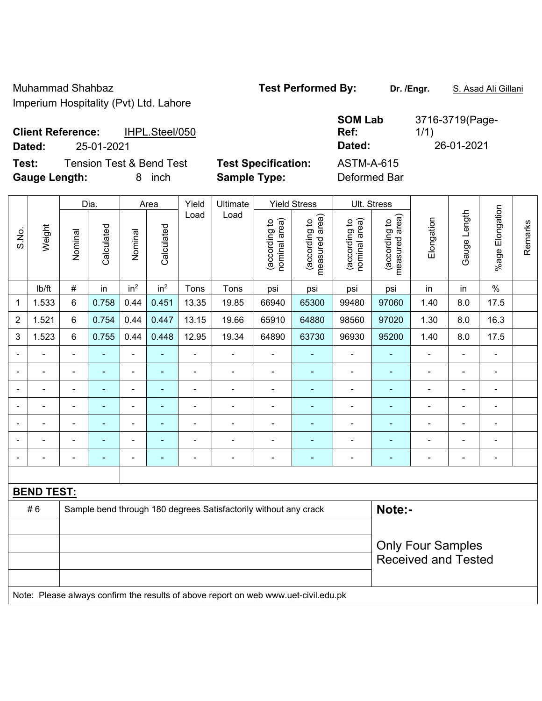Muhammad Shahbaz **Test Performed By:** Dr. /Engr. **S. Asad Ali Gillani** Imperium Hospitality (Pvt) Ltd. Lahore

| <b>Client Reference:</b> |            | IHPL.Steel/050 |
|--------------------------|------------|----------------|
| Dated:                   | 25-01-2021 |                |

**Test:** Tension Test & Bend Test **Test Specification:** ASTM-A-615 **Gauge Length:** 8 inch **Sample Type:** Deformed Bar

**SOM Lab Ref:**  3716-3719(Page-1/1) **Dated:** 25-01-2021 **Dated:** 26-01-2021

|                          |                   |                                                                                     | Dia.           |                 | Area            | Yield                    | Ultimate                                                         |                                | <b>Yield Stress</b>             |                                | Ult. Stress                     |                          |                          |                          |         |
|--------------------------|-------------------|-------------------------------------------------------------------------------------|----------------|-----------------|-----------------|--------------------------|------------------------------------------------------------------|--------------------------------|---------------------------------|--------------------------------|---------------------------------|--------------------------|--------------------------|--------------------------|---------|
| S.No.                    | Weight            | Nominal                                                                             | Calculated     | Nominal         | Calculated      | Load                     | Load                                                             | nominal area)<br>(according to | (according to<br>measured area) | (according to<br>nominal area) | measured area)<br>(according to | Elongation               | Gauge Length             | %age Elongation          | Remarks |
|                          | lb/ft             | $\#$                                                                                | in             | in <sup>2</sup> | in <sup>2</sup> | Tons                     | Tons                                                             | psi                            | psi                             | psi                            | psi                             | in                       | in                       | $\%$                     |         |
| 1                        | 1.533             | 6                                                                                   | 0.758          | 0.44            | 0.451           | 13.35                    | 19.85                                                            | 66940                          | 65300                           | 99480                          | 97060                           | 1.40                     | 8.0                      | 17.5                     |         |
| $\overline{2}$           | 1.521             | 6                                                                                   | 0.754          | 0.44            | 0.447           | 13.15                    | 19.66                                                            | 65910                          | 64880                           | 98560                          | 97020                           | 1.30                     | 8.0                      | 16.3                     |         |
| 3                        | 1.523             | 6                                                                                   | 0.755          | 0.44            | 0.448           | 12.95                    | 19.34                                                            | 64890                          | 63730                           | 96930                          | 95200                           | 1.40                     | 8.0                      | 17.5                     |         |
|                          |                   | $\blacksquare$                                                                      | $\blacksquare$ | $\blacksquare$  | ä,              | $\blacksquare$           | ä,                                                               | $\blacksquare$                 | ä,                              | $\blacksquare$                 |                                 | $\blacksquare$           |                          | ä,                       |         |
|                          |                   | $\overline{\phantom{0}}$                                                            | $\blacksquare$ | $\blacksquare$  | ÷               | $\blacksquare$           | -                                                                | $\blacksquare$                 | ٠                               | $\blacksquare$                 | $\blacksquare$                  | $\blacksquare$           | $\overline{\phantom{0}}$ | $\blacksquare$           |         |
|                          |                   | $\blacksquare$                                                                      | $\blacksquare$ | $\blacksquare$  | ۰               | $\blacksquare$           | $\blacksquare$                                                   | Ē,                             | ä,                              |                                |                                 | Ē,                       | $\blacksquare$           | $\blacksquare$           |         |
| $\blacksquare$           |                   | $\blacksquare$                                                                      | ٠              | $\blacksquare$  | ÷               | $\blacksquare$           | ÷,                                                               | $\blacksquare$                 | $\blacksquare$                  | $\blacksquare$                 |                                 | ÷                        | $\blacksquare$           | $\blacksquare$           |         |
| $\overline{\phantom{0}}$ | ۰                 | $\blacksquare$                                                                      | ٠              | $\blacksquare$  | ÷               | $\overline{\phantom{a}}$ | ÷.                                                               | $\blacksquare$                 | $\blacksquare$                  | $\blacksquare$                 | $\blacksquare$                  | $\blacksquare$           | $\blacksquare$           | $\blacksquare$           |         |
|                          | $\blacksquare$    | $\blacksquare$                                                                      | $\blacksquare$ | $\blacksquare$  | $\blacksquare$  | $\overline{a}$           | ÷,                                                               | $\overline{\phantom{a}}$       | ÷                               |                                | $\blacksquare$                  | -                        | $\blacksquare$           | $\overline{\phantom{a}}$ |         |
|                          | $\blacksquare$    | $\blacksquare$                                                                      | $\blacksquare$ | $\blacksquare$  | ä,              | $\overline{a}$           | $\overline{a}$                                                   | $\overline{\phantom{a}}$       | $\blacksquare$                  | $\blacksquare$                 | ٠                               | $\blacksquare$           | $\blacksquare$           | $\blacksquare$           |         |
|                          |                   |                                                                                     |                |                 |                 |                          |                                                                  |                                |                                 |                                |                                 |                          |                          |                          |         |
|                          | <b>BEND TEST:</b> |                                                                                     |                |                 |                 |                          |                                                                  |                                |                                 |                                |                                 |                          |                          |                          |         |
|                          | #6                |                                                                                     |                |                 |                 |                          | Sample bend through 180 degrees Satisfactorily without any crack |                                |                                 |                                | Note:-                          |                          |                          |                          |         |
|                          |                   |                                                                                     |                |                 |                 |                          |                                                                  |                                |                                 |                                |                                 |                          |                          |                          |         |
|                          |                   |                                                                                     |                |                 |                 |                          |                                                                  |                                |                                 |                                |                                 | <b>Only Four Samples</b> |                          |                          |         |
|                          |                   |                                                                                     |                |                 |                 |                          |                                                                  |                                |                                 |                                | <b>Received and Tested</b>      |                          |                          |                          |         |
|                          |                   |                                                                                     |                |                 |                 |                          |                                                                  |                                |                                 |                                |                                 |                          |                          |                          |         |
|                          |                   | Note: Please always confirm the results of above report on web www.uet-civil.edu.pk |                |                 |                 |                          |                                                                  |                                |                                 |                                |                                 |                          |                          |                          |         |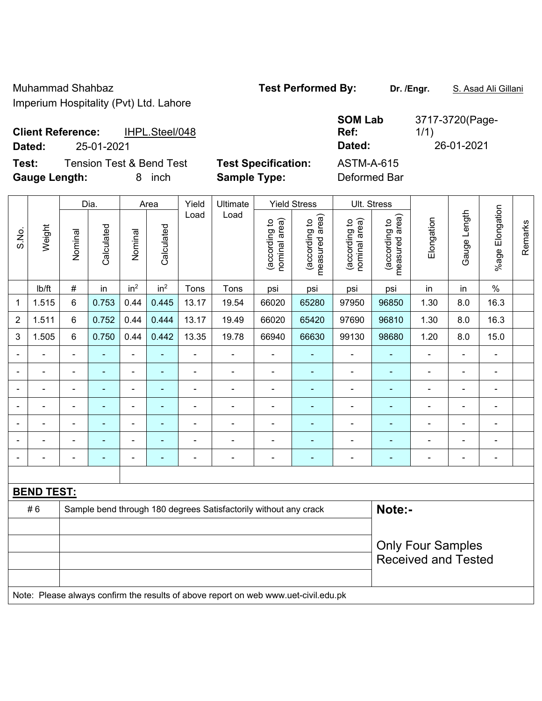Muhammad Shahbaz **Test Performed By:** Dr. /Engr. **S. Asad Ali Gillani** 

Imperium Hospitality (Pvt) Ltd. Lahore

|                          | <b>Client Reference:</b><br>IHPL.Steel/048 |                        | Ref:   | 1/1        |
|--------------------------|--------------------------------------------|------------------------|--------|------------|
| Dated:                   | 25-01-2021                                 |                        | Dated: | 26-01-2021 |
| <b>The Second Second</b> | — — — 10 m i — 1                           | ______________________ |        |            |

**SOM Lab Ref:** 

| 3717-3720(Page- |
|-----------------|
| 1/1)            |
| 26-01-2021      |

**Test:** Tension Test & Bend Test **Test Specification:** ASTM-A-615 **Gauge Length:** 8 inch **Sample Type:** Deformed Bar

|                          |                   |                | Dia.           |                 | Area            | Ultimate<br>Yield        |                                                                  | <b>Yield Stress</b>            |                                 | Ult. Stress                    |                                             |                            |                          |                          |         |
|--------------------------|-------------------|----------------|----------------|-----------------|-----------------|--------------------------|------------------------------------------------------------------|--------------------------------|---------------------------------|--------------------------------|---------------------------------------------|----------------------------|--------------------------|--------------------------|---------|
| S.No.                    | Weight            | Nominal        | Calculated     | Nominal         | Calculated      | Load                     | Load                                                             | nominal area)<br>(according to | measured area)<br>(according to | nominal area)<br>(according to | (according to<br>neasured area)<br>measured | Elongation                 | Gauge Length             | %age Elongation          | Remarks |
|                          | Ib/ft             | #              | in             | in <sup>2</sup> | in <sup>2</sup> | Tons                     | Tons                                                             | psi                            | psi                             | psi                            | psi                                         | in                         | in                       | $\%$                     |         |
| $\mathbf 1$              | 1.515             | 6              | 0.753          | 0.44            | 0.445           | 13.17                    | 19.54                                                            | 66020                          | 65280                           | 97950                          | 96850                                       | 1.30                       | 8.0                      | 16.3                     |         |
| $\overline{2}$           | 1.511             | 6              | 0.752          | 0.44            | 0.444           | 13.17                    | 19.49                                                            | 66020                          | 65420                           | 97690                          | 96810                                       | 1.30                       | 8.0                      | 16.3                     |         |
| 3                        | 1.505             | 6              | 0.750          | 0.44            | 0.442           | 13.35                    | 19.78                                                            | 66940                          | 66630                           | 99130                          | 98680                                       | 1.20                       | 8.0                      | 15.0                     |         |
| $\overline{\phantom{0}}$ |                   | $\blacksquare$ | $\blacksquare$ | $\blacksquare$  | ٠               | $\overline{\phantom{a}}$ | $\blacksquare$                                                   | $\blacksquare$                 | ٠                               | ÷,                             | $\blacksquare$                              | $\blacksquare$             | $\blacksquare$           | $\overline{\phantom{a}}$ |         |
|                          |                   |                | L.             |                 |                 |                          |                                                                  | Ē,                             | ۰                               | $\blacksquare$                 | $\blacksquare$                              | $\blacksquare$             |                          | $\blacksquare$           |         |
|                          |                   | $\blacksquare$ | $\blacksquare$ | $\blacksquare$  |                 | $\blacksquare$           | $\blacksquare$                                                   | $\blacksquare$                 | $\blacksquare$                  | $\blacksquare$                 | $\blacksquare$                              | $\blacksquare$             | $\blacksquare$           | $\blacksquare$           |         |
|                          | ۰                 | $\blacksquare$ | $\blacksquare$ | $\blacksquare$  | $\blacksquare$  | $\overline{\phantom{a}}$ | $\overline{\phantom{0}}$                                         | $\blacksquare$                 | ۰                               | ÷,                             | $\blacksquare$                              | $\blacksquare$             | $\overline{\phantom{a}}$ | $\blacksquare$           |         |
|                          |                   | $\blacksquare$ | ÷,             | $\blacksquare$  |                 | $\blacksquare$           |                                                                  | $\blacksquare$                 | ۰                               | $\blacksquare$                 | $\blacksquare$                              | $\blacksquare$             |                          | $\blacksquare$           |         |
|                          |                   |                |                |                 |                 | $\blacksquare$           |                                                                  |                                |                                 | $\blacksquare$                 |                                             | $\blacksquare$             |                          | $\blacksquare$           |         |
|                          | $\blacksquare$    | $\blacksquare$ | $\blacksquare$ | $\blacksquare$  | $\blacksquare$  | $\overline{\phantom{a}}$ | $\overline{a}$                                                   | $\blacksquare$                 | ۰                               | ÷,                             | $\blacksquare$                              | -                          | $\overline{\phantom{a}}$ | $\blacksquare$           |         |
|                          |                   |                |                |                 |                 |                          |                                                                  |                                |                                 |                                |                                             |                            |                          |                          |         |
|                          | <b>BEND TEST:</b> |                |                |                 |                 |                          |                                                                  |                                |                                 |                                |                                             |                            |                          |                          |         |
|                          | #6                |                |                |                 |                 |                          | Sample bend through 180 degrees Satisfactorily without any crack |                                |                                 |                                | Note:-                                      |                            |                          |                          |         |
|                          |                   |                |                |                 |                 |                          |                                                                  |                                |                                 |                                |                                             |                            |                          |                          |         |
|                          |                   |                |                |                 |                 |                          |                                                                  |                                |                                 |                                |                                             | <b>Only Four Samples</b>   |                          |                          |         |
|                          |                   |                |                |                 |                 |                          |                                                                  |                                |                                 |                                |                                             | <b>Received and Tested</b> |                          |                          |         |
|                          |                   |                |                |                 |                 |                          |                                                                  |                                |                                 |                                |                                             |                            |                          |                          |         |

Note: Please always confirm the results of above report on web www.uet-civil.edu.pk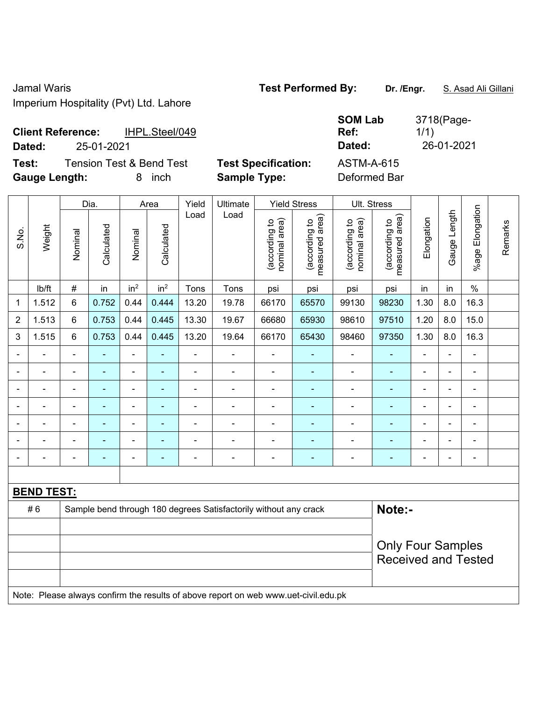# Jamal Waris **Test Performed By:** Dr. /Engr. **S. Asad Ali Gillani** Ali Collani Imperium Hospitality (Pvt) Ltd. Lahore

| <b>Client Reference:</b><br>IHPL.Steel/049<br>25-01-2021<br>Dated: |                                                   | <b>SOM Lab</b><br>Ref:<br>Dated:  | 3718(Page-<br>1/1)<br>26-01-2021 |
|--------------------------------------------------------------------|---------------------------------------------------|-----------------------------------|----------------------------------|
| Tension Test & Bend Test<br>Test:<br><b>Gauge Length:</b><br>inch  | <b>Test Specification:</b><br><b>Sample Type:</b> | <b>ASTM-A-615</b><br>Deformed Bar |                                  |

|                |                                                                                     |                | Dia.           |                              | Area            | Yield<br>Ultimate |                                                                  | <b>Yield Stress</b>            |                                 | Ult. Stress                    |                                 |                          |                |                      |         |
|----------------|-------------------------------------------------------------------------------------|----------------|----------------|------------------------------|-----------------|-------------------|------------------------------------------------------------------|--------------------------------|---------------------------------|--------------------------------|---------------------------------|--------------------------|----------------|----------------------|---------|
| S.No.          | Weight                                                                              | Nominal        | Calculated     | Nominal                      | Calculated      | Load              | Load                                                             | nominal area)<br>(according to | (according to<br>measured area) | nominal area)<br>(according to | (according to<br>measured area) | Elongation               | Gauge Length   | Elongation<br>%age l | Remarks |
|                | lb/ft                                                                               | $\#$           | in             | in <sup>2</sup>              | in <sup>2</sup> | Tons              | Tons                                                             | psi                            | psi                             | psi                            | psi                             | in                       | in             | $\%$                 |         |
| 1              | 1.512                                                                               | 6              | 0.752          | 0.44                         | 0.444           | 13.20             | 19.78                                                            | 66170                          | 65570                           | 99130                          | 98230                           | 1.30                     | 8.0            | 16.3                 |         |
| $\overline{2}$ | 1.513                                                                               | 6              | 0.753          | 0.44                         | 0.445           | 13.30             | 19.67                                                            | 66680                          | 65930                           | 98610                          | 97510                           | 1.20                     | 8.0            | 15.0                 |         |
| 3              | 1.515                                                                               | 6              | 0.753          | 0.44                         | 0.445           | 13.20             | 19.64                                                            | 66170                          | 65430                           | 98460                          | 97350                           | 1.30                     | 8.0            | 16.3                 |         |
|                |                                                                                     |                |                | $\blacksquare$               |                 | $\blacksquare$    | ÷                                                                | $\blacksquare$                 |                                 | $\blacksquare$                 |                                 | $\blacksquare$           |                | ÷,                   |         |
|                |                                                                                     |                |                | ÷,                           | $\blacksquare$  | $\blacksquare$    | $\blacksquare$                                                   | $\blacksquare$                 | $\blacksquare$                  | ÷                              |                                 |                          |                | -                    |         |
|                |                                                                                     |                |                | ۰                            | $\blacksquare$  | $\blacksquare$    | $\blacksquare$                                                   | $\overline{a}$                 | $\blacksquare$                  | $\blacksquare$                 |                                 | Ē,                       | $\blacksquare$ |                      |         |
|                |                                                                                     | $\blacksquare$ | $\blacksquare$ | $\overline{a}$               | $\blacksquare$  | $\overline{a}$    | $\overline{\phantom{a}}$                                         | $\blacksquare$                 | $\blacksquare$                  | ÷                              | ۰                               | $\overline{\phantom{a}}$ | $\blacksquare$ | $\blacksquare$       |         |
|                |                                                                                     |                | $\blacksquare$ | $\qquad \qquad \blacksquare$ | ۳               | $\blacksquare$    | $\blacksquare$                                                   | $\blacksquare$                 | $\blacksquare$                  | $\blacksquare$                 | $\blacksquare$                  | Ē,                       |                | $\blacksquare$       |         |
|                | $\blacksquare$                                                                      |                | $\blacksquare$ | ÷,                           | $\blacksquare$  | $\blacksquare$    | $\blacksquare$                                                   | ä,                             | $\blacksquare$                  | ÷                              | ٠                               | L,                       |                | $\frac{1}{2}$        |         |
|                |                                                                                     |                | $\blacksquare$ | L.                           | ۰               | $\blacksquare$    | $\blacksquare$                                                   | $\blacksquare$                 | $\blacksquare$                  | $\overline{\phantom{0}}$       | $\blacksquare$                  | $\blacksquare$           |                | $\blacksquare$       |         |
|                |                                                                                     |                |                |                              |                 |                   |                                                                  |                                |                                 |                                |                                 |                          |                |                      |         |
|                | <b>BEND TEST:</b>                                                                   |                |                |                              |                 |                   |                                                                  |                                |                                 |                                |                                 |                          |                |                      |         |
|                | #6                                                                                  |                |                |                              |                 |                   | Sample bend through 180 degrees Satisfactorily without any crack |                                |                                 |                                | Note:-                          |                          |                |                      |         |
|                |                                                                                     |                |                |                              |                 |                   |                                                                  |                                |                                 |                                |                                 |                          |                |                      |         |
|                |                                                                                     |                |                |                              |                 |                   |                                                                  |                                |                                 |                                | <b>Only Four Samples</b>        |                          |                |                      |         |
|                |                                                                                     |                |                |                              |                 |                   |                                                                  |                                |                                 | <b>Received and Tested</b>     |                                 |                          |                |                      |         |
|                |                                                                                     |                |                |                              |                 |                   |                                                                  |                                |                                 |                                |                                 |                          |                |                      |         |
|                | Note: Please always confirm the results of above report on web www.uet-civil.edu.pk |                |                |                              |                 |                   |                                                                  |                                |                                 |                                |                                 |                          |                |                      |         |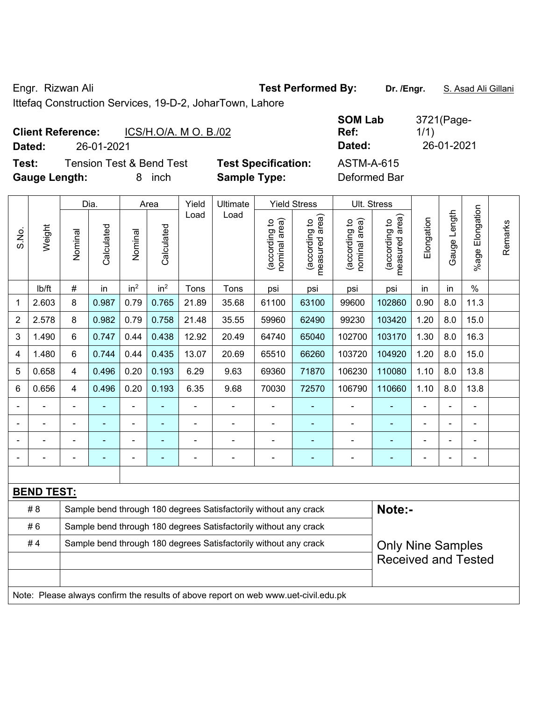Engr. Rizwan Ali **Test Performed By: Dr. /Engr.** S. Asad Ali Gillani

Ittefaq Construction Services, 19-D-2, JoharTown, Lahore

| <b>Client Reference:</b> |            | ICS/H.O/A. M O. B./02               |                            | <b>SOM LAD</b><br>Ref: | 3721(Page-<br>1/1) |
|--------------------------|------------|-------------------------------------|----------------------------|------------------------|--------------------|
| Dated:                   | 26-01-2021 |                                     |                            | Dated:                 | 26-01-2021         |
| Test:                    |            | <b>Tension Test &amp; Bend Test</b> | <b>Test Specification:</b> | <b>ASTM-A-615</b>      |                    |
| <b>Gauge Length:</b>     |            | inch                                | <b>Sample Type:</b>        | Deformed Bar           |                    |

| <b>SOM Lab</b>    | 3721(Page- |
|-------------------|------------|
| Ref:              | 1/1)       |
| Dated:            | 26-01-2021 |
| <b>ASTM-A-615</b> |            |

|                | Weight                                                                              |         | Dia.           |                          | Area            | Yield          | Ultimate                                                         |                                | <b>Yield Stress</b>             |                                | Ult. Stress                     |                          |                |                              |         |  |
|----------------|-------------------------------------------------------------------------------------|---------|----------------|--------------------------|-----------------|----------------|------------------------------------------------------------------|--------------------------------|---------------------------------|--------------------------------|---------------------------------|--------------------------|----------------|------------------------------|---------|--|
| S.No.          |                                                                                     | Nominal | Calculated     | Nominal                  | Calculated      | Load           | Load                                                             | nominal area)<br>(according to | (according to<br>measured area) | nominal area)<br>(according to | measured area)<br>(according to | Elongation               | Gauge Length   | %age Elongation              | Remarks |  |
|                | Ib/ft                                                                               | #       | in             | in <sup>2</sup>          | in <sup>2</sup> | Tons           | Tons                                                             | psi                            | psi                             | psi                            | psi                             | in                       | in             | $\frac{0}{0}$                |         |  |
| 1              | 2.603                                                                               | 8       | 0.987          | 0.79                     | 0.765           | 21.89          | 35.68                                                            | 61100                          | 63100                           | 99600                          | 102860                          | 0.90                     | 8.0            | 11.3                         |         |  |
| $\overline{2}$ | 2.578                                                                               | 8       | 0.982          | 0.79                     | 0.758           | 21.48          | 35.55                                                            | 59960                          | 62490                           | 99230                          | 103420                          | 1.20                     | 8.0            | 15.0                         |         |  |
| 3              | 1.490                                                                               | 6       | 0.747          | 0.44                     | 0.438           | 12.92          | 20.49                                                            | 64740                          | 65040                           | 102700                         | 103170                          | 1.30                     | 8.0            | 16.3                         |         |  |
| 4              | 1.480                                                                               | 6       | 0.744          | 0.44                     | 0.435           | 13.07          | 20.69                                                            | 65510                          | 66260                           | 103720                         | 104920                          | 1.20                     | 8.0            | 15.0                         |         |  |
| 5              | 0.658                                                                               | 4       | 0.496          | 0.20                     | 0.193           | 6.29           | 9.63                                                             | 69360                          | 71870                           | 106230                         | 110080                          | 1.10                     | 8.0            | 13.8                         |         |  |
| 6              | 0.656                                                                               | 4       | 0.496          | 0.20                     | 0.193           | 6.35           | 9.68                                                             | 70030                          | 72570                           | 106790                         | 110660                          | 1.10                     | 8.0            | 13.8                         |         |  |
|                |                                                                                     |         |                |                          |                 |                |                                                                  |                                |                                 |                                |                                 |                          |                |                              |         |  |
|                |                                                                                     |         | $\blacksquare$ | $\blacksquare$           |                 | $\blacksquare$ | $\blacksquare$                                                   | $\blacksquare$                 | $\blacksquare$                  | ä,                             | $\blacksquare$                  | $\blacksquare$           | $\blacksquare$ | $\blacksquare$               |         |  |
|                |                                                                                     |         |                | $\blacksquare$           |                 |                |                                                                  |                                |                                 | Ē,                             | $\overline{\phantom{0}}$        | Ē,                       |                | $\blacksquare$               |         |  |
|                |                                                                                     | ÷,      | $\blacksquare$ | $\overline{\phantom{0}}$ | $\blacksquare$  | $\blacksquare$ | $\blacksquare$                                                   | $\blacksquare$                 | $\blacksquare$                  | $\overline{a}$                 | $\blacksquare$                  | $\overline{\phantom{a}}$ |                | $\qquad \qquad \blacksquare$ |         |  |
|                |                                                                                     |         |                |                          |                 |                |                                                                  |                                |                                 |                                |                                 |                          |                |                              |         |  |
|                | <b>BEND TEST:</b>                                                                   |         |                |                          |                 |                |                                                                  |                                |                                 |                                |                                 |                          |                |                              |         |  |
|                | # 8                                                                                 |         |                |                          |                 |                | Sample bend through 180 degrees Satisfactorily without any crack |                                |                                 |                                | Note:-                          |                          |                |                              |         |  |
|                | #6                                                                                  |         |                |                          |                 |                | Sample bend through 180 degrees Satisfactorily without any crack |                                |                                 |                                |                                 |                          |                |                              |         |  |
| #4             |                                                                                     |         |                |                          |                 |                | Sample bend through 180 degrees Satisfactorily without any crack |                                |                                 |                                | <b>Only Nine Samples</b>        |                          |                |                              |         |  |
|                |                                                                                     |         |                |                          |                 |                |                                                                  |                                |                                 | <b>Received and Tested</b>     |                                 |                          |                |                              |         |  |
|                |                                                                                     |         |                |                          |                 |                |                                                                  |                                |                                 |                                |                                 |                          |                |                              |         |  |
|                | Note: Please always confirm the results of above report on web www.uet-civil.edu.pk |         |                |                          |                 |                |                                                                  |                                |                                 |                                |                                 |                          |                |                              |         |  |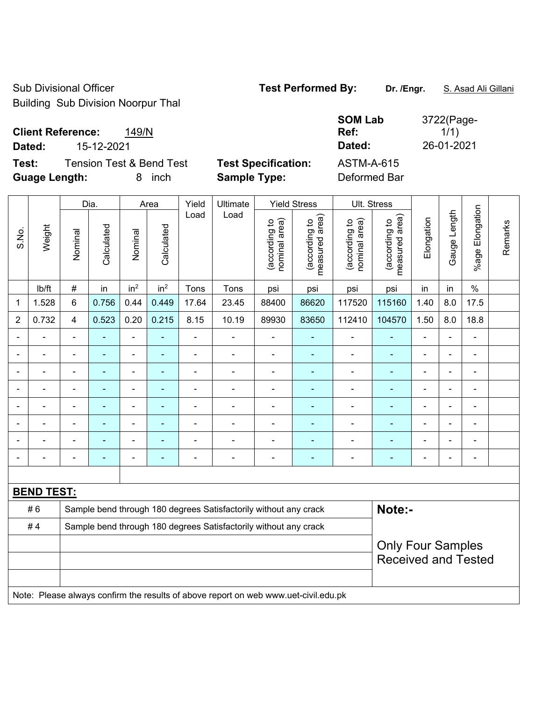Sub Divisional Officer **Test Performed By:** Dr. /Engr. **S. Asad Ali Gillani** Building Sub Division Noorpur Thal

| <b>Client Reference:</b> |            | 149/N |
|--------------------------|------------|-------|
| Nated∙                   | 15-12-2021 |       |

**Test:** Tension Test & Bend Test **Test Specification:** ASTM-A-615 **Guage Length:** 8 inch **Sample Type:** Deformed Bar

**SOM Lab Ref:**  3722(Page-1/1) **Dated:** 15-12-2021 **Dated:** 26-01-2021

|                                                                        | Weight            |                                                                                     |                |                 | Dia.            | Area           |                                                                  | Yield                          | Ultimate                        | <b>Yield Stress</b>            |                                 |                                                        | Ult. Stress    |                       |         |  |  |
|------------------------------------------------------------------------|-------------------|-------------------------------------------------------------------------------------|----------------|-----------------|-----------------|----------------|------------------------------------------------------------------|--------------------------------|---------------------------------|--------------------------------|---------------------------------|--------------------------------------------------------|----------------|-----------------------|---------|--|--|
| S.No.                                                                  |                   | Nominal                                                                             | Calculated     | Nominal         | Calculated      | Load           | Load                                                             | (according to<br>nominal area) | (according to<br>measured area) | nominal area)<br>(according to | (according to<br>measured area) | Elongation                                             | Gauge Length   | Elongation<br>$%$ age | Remarks |  |  |
|                                                                        | lb/ft             | $\#$                                                                                | in             | in <sup>2</sup> | in <sup>2</sup> | Tons           | Tons                                                             | psi                            | psi                             | psi                            | psi                             | in                                                     | in             | $\%$                  |         |  |  |
| 1                                                                      | 1.528             | 6                                                                                   | 0.756          | 0.44            | 0.449           | 17.64          | 23.45                                                            | 88400                          | 86620                           | 117520                         | 115160                          | 1.40                                                   | 8.0            | 17.5                  |         |  |  |
| $\overline{2}$                                                         | 0.732             | 4                                                                                   | 0.523          | 0.20            | 0.215           | 8.15           | 10.19                                                            | 89930                          | 83650                           | 112410                         | 104570                          | 1.50                                                   | 8.0            | 18.8                  |         |  |  |
| $\blacksquare$                                                         | $\blacksquare$    | $\blacksquare$                                                                      | ä,             | $\blacksquare$  | $\blacksquare$  | ä,             | $\blacksquare$                                                   | ä,                             | ÷                               | ä,                             | $\blacksquare$                  | ÷,                                                     | $\blacksquare$ | ÷,                    |         |  |  |
| $\blacksquare$                                                         | $\blacksquare$    | $\blacksquare$                                                                      | ÷              | ÷               | $\blacksquare$  | $\blacksquare$ | $\blacksquare$                                                   | ä,                             | $\blacksquare$                  | $\blacksquare$                 | $\blacksquare$                  | $\blacksquare$                                         | $\blacksquare$ | $\blacksquare$        |         |  |  |
| $\blacksquare$                                                         | ÷,                | ÷,                                                                                  | ÷,             | $\blacksquare$  | $\blacksquare$  | $\blacksquare$ | $\frac{1}{2}$                                                    | $\blacksquare$                 | ÷                               | Ē,                             | $\blacksquare$                  | $\blacksquare$                                         | ÷,             | $\blacksquare$        |         |  |  |
|                                                                        | $\blacksquare$    | $\blacksquare$                                                                      | $\blacksquare$ | $\overline{a}$  | $\blacksquare$  | $\blacksquare$ | $\blacksquare$                                                   | $\blacksquare$                 |                                 | $\blacksquare$                 | $\blacksquare$                  | $\blacksquare$                                         | $\blacksquare$ | $\blacksquare$        |         |  |  |
|                                                                        | $\blacksquare$    | ä,                                                                                  | ÷              | $\blacksquare$  |                 | ä,             | ÷                                                                | $\blacksquare$                 |                                 | $\blacksquare$                 | $\blacksquare$                  | ä,                                                     |                | $\blacksquare$        |         |  |  |
|                                                                        |                   |                                                                                     |                |                 |                 |                |                                                                  |                                |                                 |                                |                                 |                                                        |                |                       |         |  |  |
|                                                                        |                   |                                                                                     |                |                 |                 |                |                                                                  |                                |                                 |                                |                                 |                                                        |                |                       |         |  |  |
| $\blacksquare$                                                         | $\blacksquare$    | ä,                                                                                  | ÷              | $\blacksquare$  | $\blacksquare$  |                | ÷                                                                | $\blacksquare$                 | $\blacksquare$                  | $\blacksquare$                 | $\blacksquare$                  | ä,                                                     | ٠              | $\blacksquare$        |         |  |  |
|                                                                        |                   |                                                                                     |                |                 |                 |                |                                                                  |                                |                                 |                                |                                 |                                                        |                |                       |         |  |  |
|                                                                        | <b>BEND TEST:</b> |                                                                                     |                |                 |                 |                |                                                                  |                                |                                 |                                |                                 |                                                        |                |                       |         |  |  |
|                                                                        | #6                |                                                                                     |                |                 |                 |                | Sample bend through 180 degrees Satisfactorily without any crack |                                |                                 | Note:-                         |                                 |                                                        |                |                       |         |  |  |
| #4<br>Sample bend through 180 degrees Satisfactorily without any crack |                   |                                                                                     |                |                 |                 |                |                                                                  |                                |                                 |                                |                                 |                                                        |                |                       |         |  |  |
|                                                                        |                   |                                                                                     |                |                 |                 |                |                                                                  |                                |                                 |                                |                                 | <b>Only Four Samples</b><br><b>Received and Tested</b> |                |                       |         |  |  |
|                                                                        |                   | Note: Please always confirm the results of above report on web www.uet-civil.edu.pk |                |                 |                 |                |                                                                  |                                |                                 |                                |                                 |                                                        |                |                       |         |  |  |
|                                                                        |                   |                                                                                     |                |                 |                 |                |                                                                  |                                |                                 |                                |                                 |                                                        |                |                       |         |  |  |